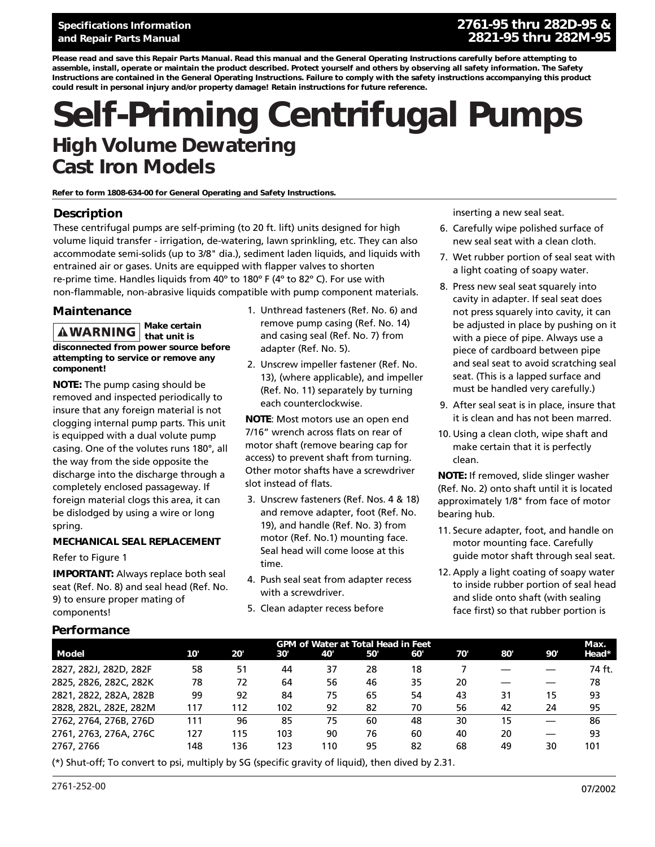# **Operating Instructions & Parts Manual XXXXX, XXXXX and XXXXX and Repair Parts Manual 2821-95 thru 282M-95 Specifications Information 2761-95 thru 282D-95 &**

*Please read and save this Repair Parts Manual. Read this manual and the General Operating Instructions carefully before attempting to assemble, install, operate or maintain the product described. Protect yourself and others by observing all safety information. The Safety Instructions are contained in the General Operating Instructions. Failure to comply with the safety instructions accompanying this product could result in personal injury and/or property damage! Retain instructions for future reference.*

# **Self-Priming Centrifugal Pumps High Volume Dewatering Cast Iron Models**

*Refer to form 1808-634-00 for General Operating and Safety Instructions.*

### **Description**

These centrifugal pumps are self-priming (to 20 ft. lift) units designed for high volume liquid transfer - irrigation, de-watering, lawn sprinkling, etc. They can also accommodate semi-solids (up to 3/8" dia.), sediment laden liquids, and liquids with entrained air or gases. Units are equipped with flapper valves to shorten re-prime time. Handles liquids from 40º to 180º F (4º to 82º C). For use with non-flammable, non-abrasive liquids compatible with pump component materials.

### **Maintenance**

*Make certain that unit is disconnected from power source before attempting to service or remove any component!*

**NOTE:** The pump casing should be removed and inspected periodically to insure that any foreign material is not clogging internal pump parts. This unit is equipped with a dual volute pump casing. One of the volutes runs 180°, all the way from the side opposite the discharge into the discharge through a completely enclosed passageway. If foreign material clogs this area, it can be dislodged by using a wire or long spring.

### **MECHANICAL SEAL REPLACEMENT**

### Refer to Figure 1

**Performance**

**IMPORTANT:** Always replace both seal seat (Ref. No. 8) and seal head (Ref. No. 9) to ensure proper mating of components!

- 1. Unthread fasteners (Ref. No. 6) and remove pump casing (Ref. No. 14) and casing seal (Ref. No. 7) from adapter (Ref. No. 5).
- 2. Unscrew impeller fastener (Ref. No. 13), (where applicable), and impeller (Ref. No. 11) separately by turning each counterclockwise.

**NOTE**: Most motors use an open end 7/16" wrench across flats on rear of motor shaft (remove bearing cap for access) to prevent shaft from turning. Other motor shafts have a screwdriver slot instead of flats.

- 3. Unscrew fasteners (Ref. Nos. 4 & 18) and remove adapter, foot (Ref. No. 19), and handle (Ref. No. 3) from motor (Ref. No.1) mounting face. Seal head will come loose at this time.
- 4. Push seal seat from adapter recess with a screwdriver.
- 5. Clean adapter recess before

inserting a new seal seat.

- 6. Carefully wipe polished surface of new seal seat with a clean cloth.
- 7. Wet rubber portion of seal seat with a light coating of soapy water.
- 8. Press new seal seat squarely into cavity in adapter. If seal seat does not press squarely into cavity, it can be adjusted in place by pushing on it with a piece of pipe. Always use a piece of cardboard between pipe and seal seat to avoid scratching seal seat. (This is a lapped surface and must be handled very carefully.)
- 9. After seal seat is in place, insure that it is clean and has not been marred.
- 10. Using a clean cloth, wipe shaft and make certain that it is perfectly clean.

**NOTE:** If removed, slide slinger washer (Ref. No. 2) onto shaft until it is located approximately 1/8" from face of motor bearing hub.

- 11. Secure adapter, foot, and handle on motor mounting face. Carefully guide motor shaft through seal seat.
- 12. Apply a light coating of soapy water to inside rubber portion of seal head and slide onto shaft (with sealing face first) so that rubber portion is

|                        | <b>GPM of Water at Total Head in Feet</b> |     |     |     |     |     |     | Max. |     |        |
|------------------------|-------------------------------------------|-----|-----|-----|-----|-----|-----|------|-----|--------|
| Model                  | 10'                                       | 20' | 30' | 40' | 50' | 60' | 70' | 80'  | 90' | Head*  |
| 2827, 282J, 282D, 282F | 58                                        | 51  | 44  | 37  | 28  | 18  |     |      |     | 74 ft. |
| 2825, 2826, 282C, 282K | 78                                        | 72  | 64  | 56  | 46  | 35  | 20  |      |     | 78     |
| 2821, 2822, 282A, 282B | 99                                        | 92  | 84  | 75  | 65  | 54  | 43  | 31   | 15  | 93     |
| 2828, 282L, 282E, 282M | 117                                       | 112 | 102 | 92  | 82  | 70  | 56  | 42   | 24  | 95     |
| 2762, 2764, 276B, 276D | 111                                       | 96  | 85  | 75  | 60  | 48  | 30  | 15   |     | 86     |
| 2761, 2763, 276A, 276C | 127                                       | 115 | 103 | 90  | 76  | 60  | 40  | 20   |     | 93     |
| 2767, 2766             | 148                                       | 136 | 123 | 110 | 95  | 82  | 68  | 49   | 30  | 101    |

(\*) Shut-off; To convert to psi, multiply by SG (specific gravity of liquid), then dived by 2.31.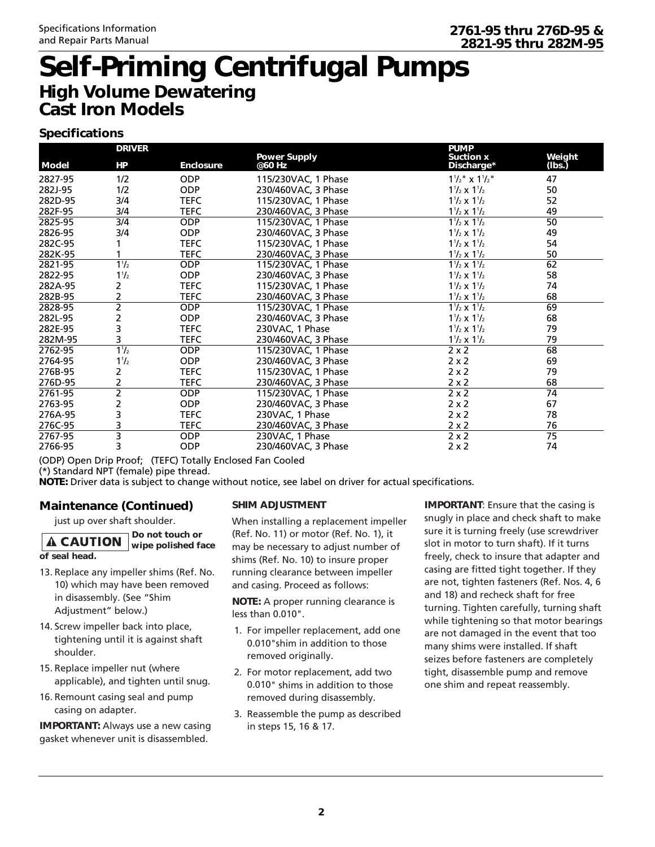# **Self-Priming Centrifugal Pumps High Volume Dewatering Cast Iron Models**

# **Specifications**

| <b>DRIVER</b> |                           |                  | <b>Power Supply</b> | <b>PUMP</b><br><b>Suction x</b>    | Weight          |  |
|---------------|---------------------------|------------------|---------------------|------------------------------------|-----------------|--|
| <b>Model</b>  | HP                        | <b>Enclosure</b> | @60 Hz              | Discharge*                         | (lbs.)          |  |
| 2827-95       | 1/2                       | <b>ODP</b>       | 115/230VAC, 1 Phase | $1\frac{1}{2}$ x $1\frac{1}{2}$ "  | 47              |  |
| 282J-95       | 1/2                       | <b>ODP</b>       | 230/460VAC, 3 Phase | $1\frac{1}{2} \times 1\frac{1}{2}$ | 50              |  |
| 282D-95       | 3/4                       | <b>TEFC</b>      | 115/230VAC, 1 Phase | $1\frac{1}{2} \times 1\frac{1}{2}$ | 52              |  |
| 282F-95       | 3/4                       | <b>TEFC</b>      | 230/460VAC, 3 Phase | $1\frac{1}{2} \times 1\frac{1}{2}$ | 49              |  |
| 2825-95       | 3/4                       | <b>ODP</b>       | 115/230VAC, 1 Phase | $1\frac{1}{2} \times 1\frac{1}{2}$ | $\overline{50}$ |  |
| 2826-95       | 3/4                       | <b>ODP</b>       | 230/460VAC, 3 Phase | $1\frac{1}{2} \times 1\frac{1}{2}$ | 49              |  |
| 282C-95       |                           | <b>TEFC</b>      | 115/230VAC, 1 Phase | $1\frac{1}{2} \times 1\frac{1}{2}$ | 54              |  |
| 282K-95       |                           | <b>TEFC</b>      | 230/460VAC, 3 Phase | $1\frac{1}{2} \times 1\frac{1}{2}$ | 50              |  |
| 2821-95       | $1^{1}/_{2}$              | <b>ODP</b>       | 115/230VAC, 1 Phase | $1\frac{1}{2} \times 1\frac{1}{2}$ | 62              |  |
| 2822-95       | $1\frac{1}{2}$            | <b>ODP</b>       | 230/460VAC, 3 Phase | $1\frac{1}{2} \times 1\frac{1}{2}$ | 58              |  |
| 282A-95       | 2                         | <b>TEFC</b>      | 115/230VAC, 1 Phase | $1\frac{1}{2} \times 1\frac{1}{2}$ | 74              |  |
| 282B-95       | 2                         | <b>TEFC</b>      | 230/460VAC, 3 Phase | $1\frac{1}{2} \times 1\frac{1}{2}$ | 68              |  |
| 2828-95       | $\overline{2}$            | <b>ODP</b>       | 115/230VAC, 1 Phase | $1\frac{1}{2} \times 1\frac{1}{2}$ | 69              |  |
| 282L-95       | 2                         | <b>ODP</b>       | 230/460VAC, 3 Phase | $1\frac{1}{2} \times 1\frac{1}{2}$ | 68              |  |
| 282E-95       | 3                         | <b>TEFC</b>      | 230VAC, 1 Phase     | $1\frac{1}{2} \times 1\frac{1}{2}$ | 79              |  |
| 282M-95       | 3                         | <b>TEFC</b>      | 230/460VAC, 3 Phase | $1\frac{1}{2} \times 1\frac{1}{2}$ | 79              |  |
| 2762-95       | $1\frac{1}{2}$            | <b>ODP</b>       | 115/230VAC, 1 Phase | $2 \times 2$                       | $\overline{68}$ |  |
| 2764-95       | $1^{1}/_{2}$              | <b>ODP</b>       | 230/460VAC, 3 Phase | $2 \times 2$                       | 69              |  |
| 276B-95       | 2                         | <b>TEFC</b>      | 115/230VAC, 1 Phase | $2 \times 2$                       | 79              |  |
| 276D-95       | 2                         | <b>TEFC</b>      | 230/460VAC, 3 Phase | $2 \times 2$                       | 68              |  |
| 2761-95       | $\overline{2}$            | <b>ODP</b>       | 115/230VAC, 1 Phase | $2 \times 2$                       | 74              |  |
| 2763-95       | 2                         | <b>ODP</b>       | 230/460VAC, 3 Phase | $2 \times 2$                       | 67              |  |
| 276A-95       | 3                         | <b>TEFC</b>      | 230VAC, 1 Phase     | $2 \times 2$                       | 78              |  |
| 276C-95       | 3                         | <b>TEFC</b>      | 230/460VAC, 3 Phase | $2 \times 2$                       | 76              |  |
| 2767-95       | $\overline{\overline{3}}$ | <b>ODP</b>       | 230VAC, 1 Phase     | $2 \times 2$                       | $\overline{75}$ |  |
| 2766-95       | 3                         | <b>ODP</b>       | 230/460VAC, 3 Phase | $2 \times 2$                       | 74              |  |

(ODP) Open Drip Proof; (TEFC) Totally Enclosed Fan Cooled

(\*) Standard NPT (female) pipe thread.

**NOTE:** Driver data is subject to change without notice, see label on driver for actual specifications.

# **Maintenance (Continued)**

just up over shaft shoulder.

#### *Do not touch or* **A CAUTION** *wipe polished face of seal head.*

- 13. Replace any impeller shims (Ref. No. 10) which may have been removed in disassembly. (See "Shim Adjustment" below.)
- 14. Screw impeller back into place, tightening until it is against shaft shoulder.
- 15. Replace impeller nut (where applicable), and tighten until snug.
- 16. Remount casing seal and pump casing on adapter.

**IMPORTANT:** Always use a new casing gasket whenever unit is disassembled.

### **SHIM ADJUSTMENT**

When installing a replacement impeller (Ref. No. 11) or motor (Ref. No. 1), it may be necessary to adjust number of shims (Ref. No. 10) to insure proper running clearance between impeller and casing. Proceed as follows:

**NOTE:** A proper running clearance is less than 0.010".

- 1. For impeller replacement, add one 0.010"shim in addition to those removed originally.
- 2. For motor replacement, add two 0.010" shims in addition to those removed during disassembly.
- 3. Reassemble the pump as described in steps 15, 16 & 17.

**IMPORTANT**: Ensure that the casing is snugly in place and check shaft to make sure it is turning freely (use screwdriver slot in motor to turn shaft). If it turns freely, check to insure that adapter and casing are fitted tight together. If they are not, tighten fasteners (Ref. Nos. 4, 6 and 18) and recheck shaft for free turning. Tighten carefully, turning shaft while tightening so that motor bearings are not damaged in the event that too many shims were installed. If shaft seizes before fasteners are completely tight, disassemble pump and remove one shim and repeat reassembly.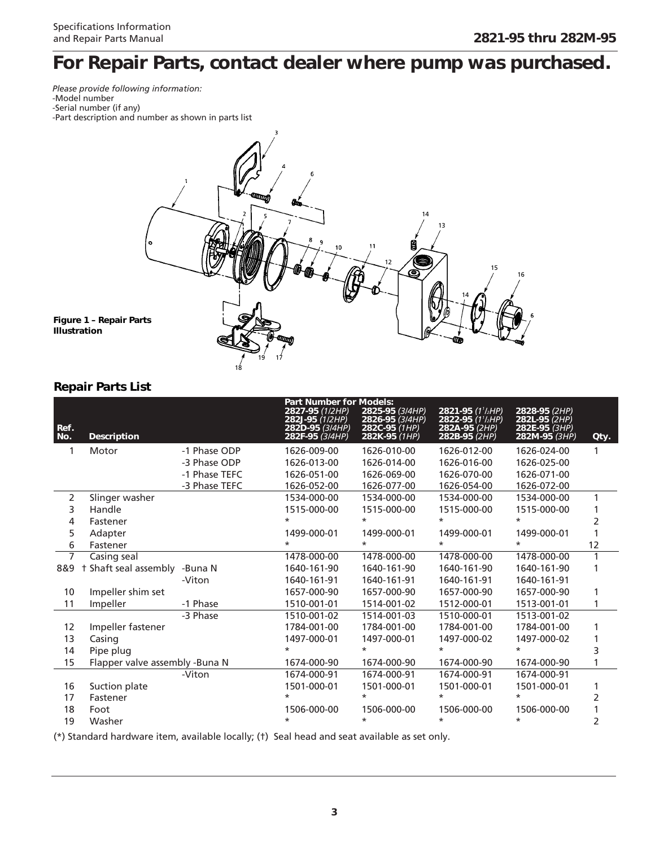# *For Repair Parts, contact dealer where pump was purchased.*

*Please provide following information:* -Model number -Serial number (if any)





## **Repair Parts List**

**Illustration** 

| <b>Description</b>  |               | 2827-95 (1/2HP)<br>282J-95 (1/2HP)<br>282D-95 (3/4HP)<br>282F-95 (3/4HP) | 2825-95 (3/4HP)<br>2826-95 (3/4HP)<br>282C-95 (1HP)<br>282K-95 (1HP) | 2821-95 (1'/ <sub>2</sub> HP)<br>2822-95 (1'/2HP)<br>282A-95 (2HP)<br>282B-95 (2HP) | 2828-95 (2HP)<br>282L-95 (2HP)<br>282E-95 (3HP)<br>282M-95 (3HP) | Qty. |
|---------------------|---------------|--------------------------------------------------------------------------|----------------------------------------------------------------------|-------------------------------------------------------------------------------------|------------------------------------------------------------------|------|
| Motor               | -1 Phase ODP  | 1626-009-00                                                              | 1626-010-00                                                          | 1626-012-00                                                                         | 1626-024-00                                                      |      |
|                     | -3 Phase ODP  | 1626-013-00                                                              | 1626-014-00                                                          | 1626-016-00                                                                         | 1626-025-00                                                      |      |
|                     | -1 Phase TEFC | 1626-051-00                                                              | 1626-069-00                                                          | 1626-070-00                                                                         | 1626-071-00                                                      |      |
|                     | -3 Phase TEFC | 1626-052-00                                                              | 1626-077-00                                                          | 1626-054-00                                                                         | 1626-072-00                                                      |      |
| Slinger washer      |               | 1534-000-00                                                              | 1534-000-00                                                          | 1534-000-00                                                                         | 1534-000-00                                                      |      |
| Handle              |               | 1515-000-00                                                              | 1515-000-00                                                          | 1515-000-00                                                                         | 1515-000-00                                                      |      |
| Fastener            |               | $\star$                                                                  | $\star$                                                              | $\star$                                                                             | $\star$                                                          | 2    |
| Adapter             |               | 1499-000-01                                                              | 1499-000-01                                                          | 1499-000-01                                                                         | 1499-000-01                                                      |      |
| Fastener            |               | $\star$                                                                  | $\star$                                                              | $\star$                                                                             | $\star$                                                          | 12   |
| Casing seal         |               | 1478-000-00                                                              | 1478-000-00                                                          | 1478-000-00                                                                         | 1478-000-00                                                      |      |
| Shaft seal assembly | -Buna N       | 1640-161-90                                                              | 1640-161-90                                                          | 1640-161-90                                                                         | 1640-161-90                                                      |      |
|                     | -Viton        | 1640-161-91                                                              | 1640-161-91                                                          | 1640-161-91                                                                         | 1640-161-91                                                      |      |
| Impeller shim set   |               | 1657-000-90                                                              | 1657-000-90                                                          | 1657-000-90                                                                         | 1657-000-90                                                      |      |
| Impeller            | -1 Phase      | 1510-001-01                                                              | 1514-001-02                                                          | 1512-000-01                                                                         | 1513-001-01                                                      | 1    |
|                     | -3 Phase      | 1510-001-02                                                              | 1514-001-03                                                          | 1510-000-01                                                                         | 1513-001-02                                                      |      |
| Impeller fastener   |               | 1784-001-00                                                              | 1784-001-00                                                          | 1784-001-00                                                                         | 1784-001-00                                                      |      |
| Casing              |               | 1497-000-01                                                              | 1497-000-01                                                          | 1497-000-02                                                                         | 1497-000-02                                                      |      |
| Pipe plug           |               | $\star$                                                                  | $\star$                                                              | $\star$                                                                             | $\star$                                                          | 3    |
|                     |               | 1674-000-90                                                              | 1674-000-90                                                          | 1674-000-90                                                                         | 1674-000-90                                                      |      |
|                     | -Viton        | 1674-000-91                                                              | 1674-000-91                                                          | 1674-000-91                                                                         | 1674-000-91                                                      |      |
| Suction plate       |               | 1501-000-01                                                              | 1501-000-01                                                          | 1501-000-01                                                                         | 1501-000-01                                                      |      |
| Fastener            |               | *                                                                        | ¥                                                                    | *                                                                                   | $\ast$                                                           | 2    |
| Foot                |               | 1506-000-00                                                              | 1506-000-00                                                          | 1506-000-00                                                                         | 1506-000-00                                                      | 1    |
| Washer              |               | *                                                                        | $\star$                                                              | $\star$                                                                             | $\star$                                                          | 2    |
|                     |               | Flapper valve assembly -Buna N                                           |                                                                      | <b>Part Number for Models:</b>                                                      |                                                                  |      |

(\*) Standard hardware item, available locally; (†) Seal head and seat available as set only.

18